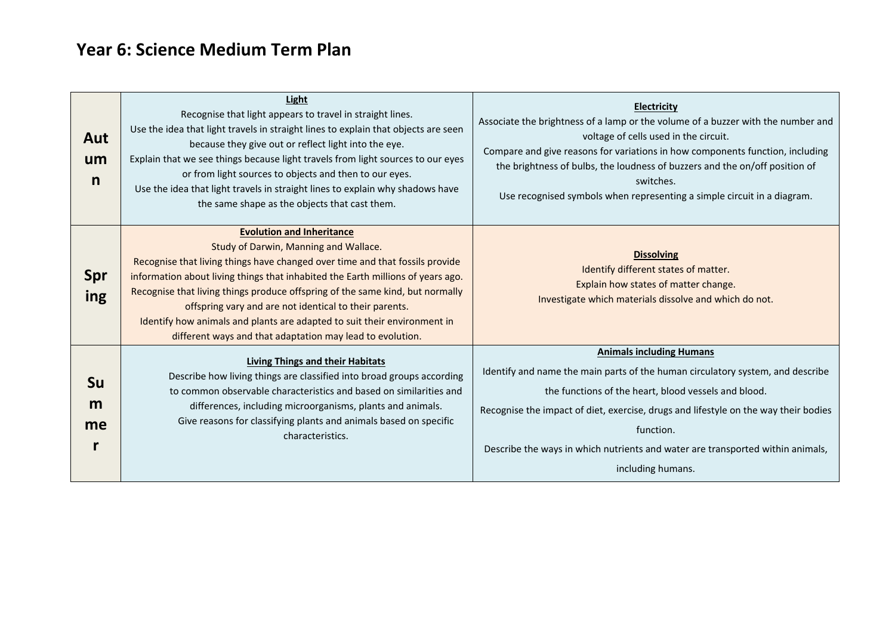## **Year 6: Science Medium Term Plan**

| Aut<br>um<br>n       | Light<br>Recognise that light appears to travel in straight lines.<br>Use the idea that light travels in straight lines to explain that objects are seen<br>because they give out or reflect light into the eye.<br>Explain that we see things because light travels from light sources to our eyes<br>or from light sources to objects and then to our eyes.<br>Use the idea that light travels in straight lines to explain why shadows have<br>the same shape as the objects that cast them.                                  | <b>Electricity</b><br>Associate the brightness of a lamp or the volume of a buzzer with the number and<br>voltage of cells used in the circuit.<br>Compare and give reasons for variations in how components function, including<br>the brightness of bulbs, the loudness of buzzers and the on/off position of<br>switches.<br>Use recognised symbols when representing a simple circuit in a diagram. |
|----------------------|----------------------------------------------------------------------------------------------------------------------------------------------------------------------------------------------------------------------------------------------------------------------------------------------------------------------------------------------------------------------------------------------------------------------------------------------------------------------------------------------------------------------------------|---------------------------------------------------------------------------------------------------------------------------------------------------------------------------------------------------------------------------------------------------------------------------------------------------------------------------------------------------------------------------------------------------------|
| Spr<br>ing           | <b>Evolution and Inheritance</b><br>Study of Darwin, Manning and Wallace.<br>Recognise that living things have changed over time and that fossils provide<br>information about living things that inhabited the Earth millions of years ago.<br>Recognise that living things produce offspring of the same kind, but normally<br>offspring vary and are not identical to their parents.<br>Identify how animals and plants are adapted to suit their environment in<br>different ways and that adaptation may lead to evolution. | <b>Dissolving</b><br>Identify different states of matter.<br>Explain how states of matter change.<br>Investigate which materials dissolve and which do not.                                                                                                                                                                                                                                             |
| <b>Su</b><br>m<br>me | <b>Living Things and their Habitats</b><br>Describe how living things are classified into broad groups according<br>to common observable characteristics and based on similarities and<br>differences, including microorganisms, plants and animals.<br>Give reasons for classifying plants and animals based on specific<br>characteristics.                                                                                                                                                                                    | <b>Animals including Humans</b><br>Identify and name the main parts of the human circulatory system, and describe<br>the functions of the heart, blood vessels and blood.<br>Recognise the impact of diet, exercise, drugs and lifestyle on the way their bodies<br>function.<br>Describe the ways in which nutrients and water are transported within animals,<br>including humans.                    |